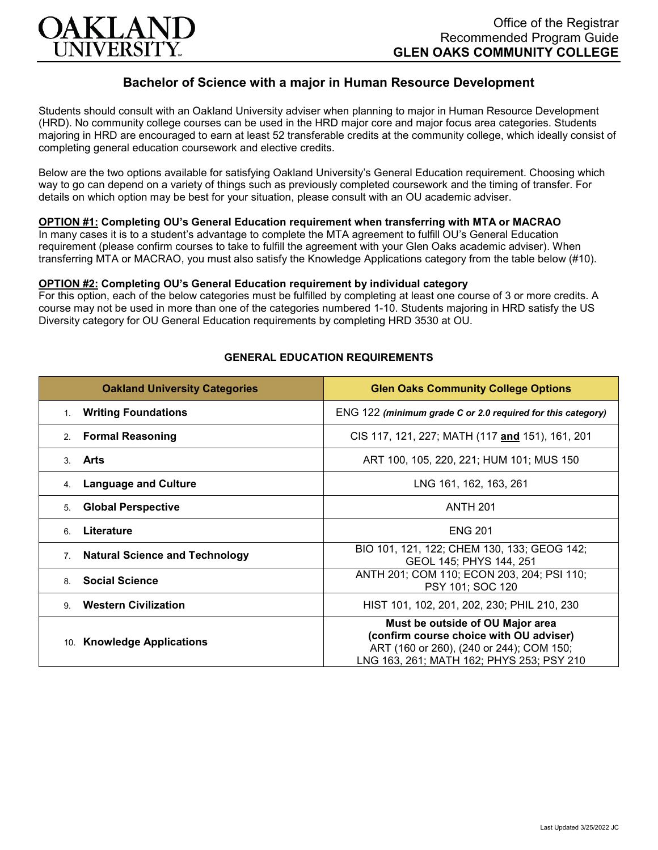

# **Bachelor of Science with a major in Human Resource Development**

Students should consult with an Oakland University adviser when planning to major in Human Resource Development (HRD). No community college courses can be used in the HRD major core and major focus area categories. Students majoring in HRD are encouraged to earn at least 52 transferable credits at the community college, which ideally consist of completing general education coursework and elective credits.

Below are the two options available for satisfying Oakland University's General Education requirement. Choosing which way to go can depend on a variety of things such as previously completed coursework and the timing of transfer. For details on which option may be best for your situation, please consult with an OU academic adviser.

## **OPTION #1: Completing OU's General Education requirement when transferring with MTA or MACRAO**

In many cases it is to a student's advantage to complete the MTA agreement to fulfill OU's General Education requirement (please confirm courses to take to fulfill the agreement with your Glen Oaks academic adviser). When transferring MTA or MACRAO, you must also satisfy the Knowledge Applications category from the table below (#10).

#### **OPTION #2: Completing OU's General Education requirement by individual category**

For this option, each of the below categories must be fulfilled by completing at least one course of 3 or more credits. A course may not be used in more than one of the categories numbered 1-10. Students majoring in HRD satisfy the US Diversity category for OU General Education requirements by completing HRD 3530 at OU.

| <b>Oakland University Categories</b>        | <b>Glen Oaks Community College Options</b>                                                                                                                           |
|---------------------------------------------|----------------------------------------------------------------------------------------------------------------------------------------------------------------------|
| <b>Writing Foundations</b><br>$1_{\cdot}$   | ENG 122 (minimum grade C or 2.0 required for this category)                                                                                                          |
| <b>Formal Reasoning</b><br>2 <sub>1</sub>   | CIS 117, 121, 227; MATH (117 and 151), 161, 201                                                                                                                      |
| Arts<br>3.                                  | ART 100, 105, 220, 221; HUM 101; MUS 150                                                                                                                             |
| <b>Language and Culture</b><br>4.           | LNG 161, 162, 163, 261                                                                                                                                               |
| <b>Global Perspective</b><br>5.             | <b>ANTH 201</b>                                                                                                                                                      |
| Literature<br>6.                            | <b>ENG 201</b>                                                                                                                                                       |
| <b>Natural Science and Technology</b><br>7. | BIO 101, 121, 122; CHEM 130, 133; GEOG 142;<br>GEOL 145; PHYS 144, 251                                                                                               |
| <b>Social Science</b><br>8                  | ANTH 201; COM 110; ECON 203, 204; PSI 110;<br>PSY 101; SOC 120                                                                                                       |
| <b>Western Civilization</b><br>9            | HIST 101, 102, 201, 202, 230; PHIL 210, 230                                                                                                                          |
| 10. Knowledge Applications                  | Must be outside of OU Major area<br>(confirm course choice with OU adviser)<br>ART (160 or 260), (240 or 244); COM 150;<br>LNG 163, 261; MATH 162; PHYS 253; PSY 210 |

### **GENERAL EDUCATION REQUIREMENTS**